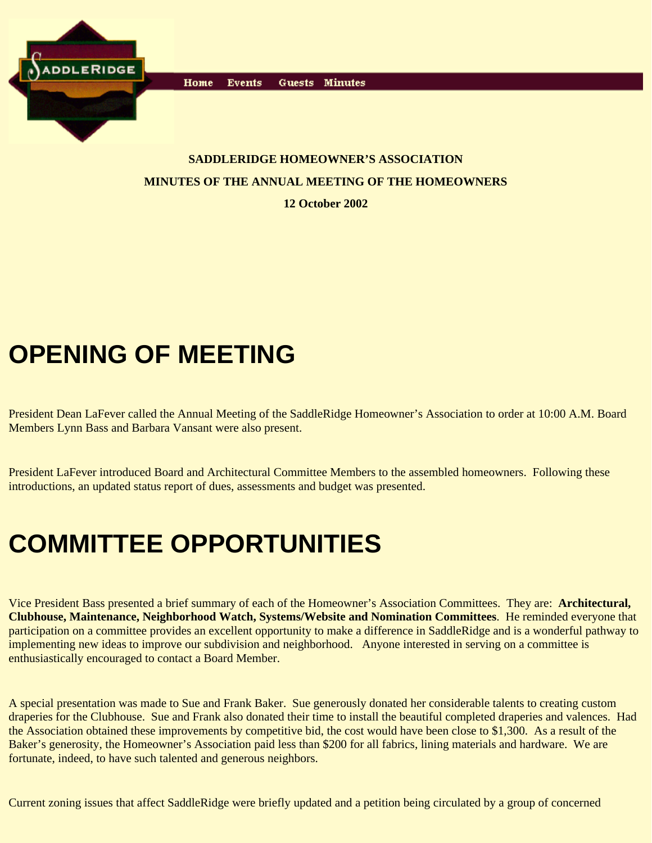

Events Home Guests Minutes

#### **SADDLERIDGE HOMEOWNER'S ASSOCIATION MINUTES OF THE ANNUAL MEETING OF THE HOMEOWNERS**

**12 October 2002**

# **OPENING OF MEETING**

President Dean LaFever called the Annual Meeting of the SaddleRidge Homeowner's Association to order at 10:00 A.M. Board Members Lynn Bass and Barbara Vansant were also present.

President LaFever introduced Board and Architectural Committee Members to the assembled homeowners. Following these introductions, an updated status report of dues, assessments and budget was presented.

## **COMMITTEE OPPORTUNITIES**

Vice President Bass presented a brief summary of each of the Homeowner's Association Committees. They are: **Architectural, Clubhouse, Maintenance, Neighborhood Watch, Systems/Website and Nomination Committees**. He reminded everyone that participation on a committee provides an excellent opportunity to make a difference in SaddleRidge and is a wonderful pathway to implementing new ideas to improve our subdivision and neighborhood. Anyone interested in serving on a committee is enthusiastically encouraged to contact a Board Member.

A special presentation was made to Sue and Frank Baker. Sue generously donated her considerable talents to creating custom draperies for the Clubhouse. Sue and Frank also donated their time to install the beautiful completed draperies and valences. Had the Association obtained these improvements by competitive bid, the cost would have been close to \$1,300. As a result of the Baker's generosity, the Homeowner's Association paid less than \$200 for all fabrics, lining materials and hardware. We are fortunate, indeed, to have such talented and generous neighbors.

Current zoning issues that affect SaddleRidge were briefly updated and a petition being circulated by a group of concerned